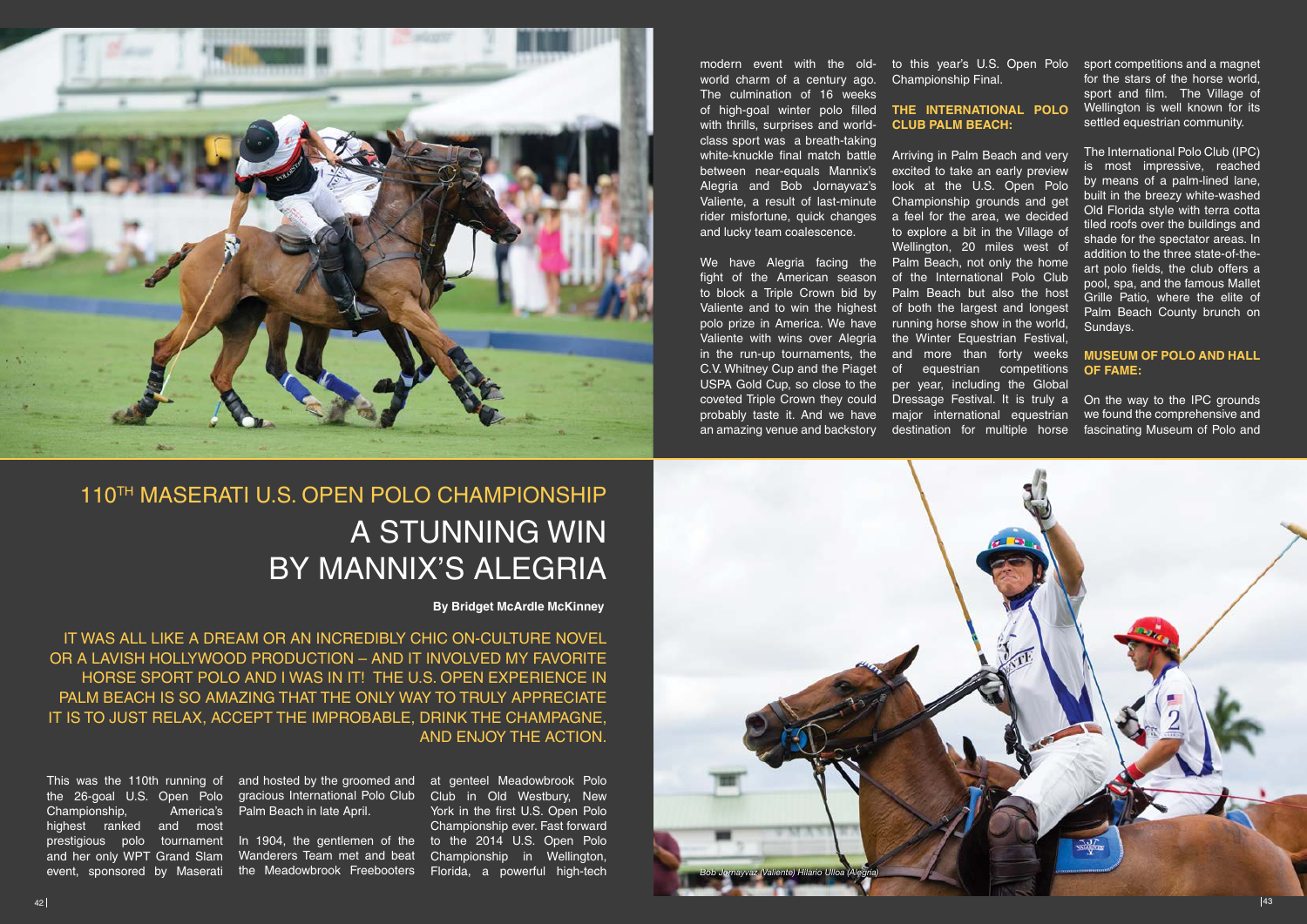IT WAS ALL LIKE A DREAM OR AN INCREDIBLY CHIC ON-CULTURE NOVEL OR A LAVISH HOLLYWOOD PRODUCTION – AND IT INVOLVED MY FAVORITE HORSE SPORT POLO AND I WAS IN IT! THE U.S. OPEN EXPERIENCE IN PALM BEACH IS SO AMAZING THAT THE ONLY WAY TO TRULY APPRECIATE IT IS TO JUST RELAX, ACCEPT THE IMPROBABLE, DRINK THE CHAMPAGNE, AND ENJOY THE ACTION.



## A STUNNING WIN BY MANNIX'S ALEGRIA 110TH MASERATI U.S. OPEN POLO CHAMPIONSHIP

**By Bridget McArdle McKinney**

the 26-goal U.S. Open Polo Championship. highest ranked and most prestigious polo tournament and her only WPT Grand Slam event, sponsored by Maserati

This was the 110th running of and hosted by the groomed and at genteel Meadowbrook Polo gracious International Polo Club Club in Old Westbury, New America's Palm Beach in late April.

Championship Final.

## **CLUB PALM BEACH:**

look at the U.S. Open Polo Championship grounds and get to explore a bit in the Village of Wellington, 20 miles west of We have Alegria facing the Palm Beach, not only the home of the International Polo Club and more than forty weeks of equestrian competitions per year, including the Global Dressage Festival. It is truly a

In 1904, the gentlemen of the to the 2014 U.S. Open Polo Wanderers Team met and beat the Meadowbrook Freebooters Florida, a powerful high-tech

modern event with the old- to this year's U.S. Open Polo sport competitions and a magnet of high-goal winter polo filled THE INTERNATIONAL POLO white-knuckle final match battle Arriving in Palm Beach and very between near-equals Mannix's excited to take an early preview rider misfortune, quick changes a feel for the area, we decided world charm of a century ago. The culmination of 16 weeks with thrills, surprises and worldclass sport was a breath-taking Alegria and Bob Jornayvaz's Valiente, a result of last-minute and lucky team coalescence.

for the stars of the horse world, sport and film. The Village of Wellington is well known for its settled equestrian community.

to block a Triple Crown bid by Palm Beach but also the host Valiente and to win the highest of both the largest and longest polo prize in America. We have running horse show in the world, Valiente with wins over Alegria the Winter Equestrian Festival, probably taste it. And we have major international equestrian an amazing venue and backstory destination for multiple horse fight of the American season in the run-up tournaments, the C.V. Whitney Cup and the Piaget USPA Gold Cup, so close to the coveted Triple Crown they could

The International Polo Club (IPC) is most impressive, reached by means of a palm-lined lane, built in the breezy white-washed Old Florida style with terra cotta tiled roofs over the buildings and shade for the spectator areas. In addition to the three state-of-theart polo fields, the club offers a pool, spa, and the famous Mallet Grille Patio, where the elite of Palm Beach County brunch on Sundays.

## **MUSEUM OF POLO AND HALL OF FAME:**

On the way to the IPC grounds we found the comprehensive and fascinating Museum of Polo and

York in the first U.S. Open Polo Championship ever. Fast forward Championship in Wellington,